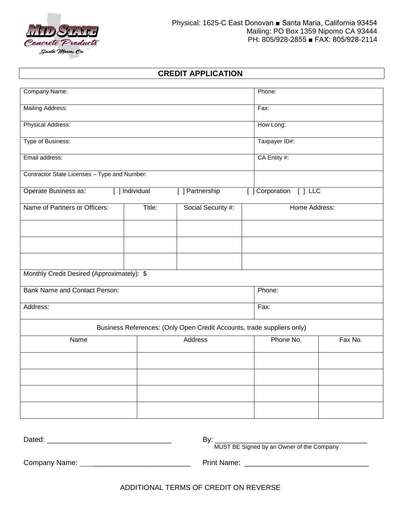

## **CREDIT APPLICATION**

| Company Name:                                                                        |               |                                                                        | Phone:        |         |  |
|--------------------------------------------------------------------------------------|---------------|------------------------------------------------------------------------|---------------|---------|--|
| Mailing Address:                                                                     |               |                                                                        | Fax:          |         |  |
| Physical Address:                                                                    | How Long:     |                                                                        |               |         |  |
| Type of Business:                                                                    | Taxpayer ID#: |                                                                        |               |         |  |
| Email address:                                                                       | CA Entity #:  |                                                                        |               |         |  |
| Contractor State Licenses - Type and Number:                                         |               |                                                                        |               |         |  |
| [ ] Partnership<br>[ ] Corporation [ ] LLC<br>Operate Business as:<br>[ ] Individual |               |                                                                        |               |         |  |
| Name of Partners or Officers:<br>Title:<br>Social Security #:                        |               |                                                                        | Home Address: |         |  |
|                                                                                      |               |                                                                        |               |         |  |
|                                                                                      |               |                                                                        |               |         |  |
|                                                                                      |               |                                                                        |               |         |  |
| Monthly Credit Desired (Approximately): \$                                           |               |                                                                        |               |         |  |
| Bank Name and Contact Person:                                                        |               |                                                                        | Phone:        |         |  |
| Address:                                                                             |               |                                                                        | Fax:          |         |  |
|                                                                                      |               | Business References: (Only Open Credit Accounts, trade suppliers only) |               |         |  |
| Name                                                                                 |               | Address                                                                | Phone No.     | Fax No. |  |
|                                                                                      |               |                                                                        |               |         |  |
|                                                                                      |               |                                                                        |               |         |  |
|                                                                                      |               |                                                                        |               |         |  |
|                                                                                      |               |                                                                        |               |         |  |
|                                                                                      |               |                                                                        |               |         |  |
|                                                                                      |               |                                                                        |               |         |  |

Company Name: \_\_\_\_\_\_\_\_\_\_\_\_\_\_\_\_\_\_\_\_\_\_\_\_ Print Name: \_\_\_\_\_\_\_\_\_\_\_\_\_\_\_\_\_\_\_\_\_\_\_\_\_\_\_\_\_\_\_

ADDITIONAL TERMS OF CREDIT ON REVERSE